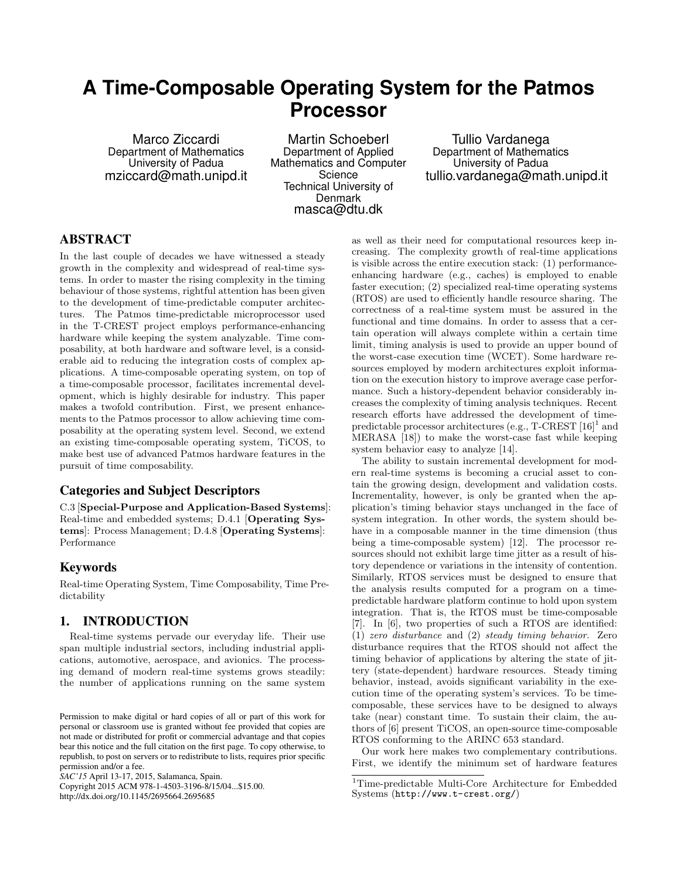# **A Time-Composable Operating System for the Patmos Processor**

Marco Ziccardi Department of Mathematics University of Padua mziccard@math.unipd.it

Martin Schoeberl Department of Applied Mathematics and Computer Science Technical University of Denmark masca@dtu.dk

Tullio Vardanega Department of Mathematics University of Padua tullio.vardanega@math.unipd.it

# ABSTRACT

In the last couple of decades we have witnessed a steady growth in the complexity and widespread of real-time systems. In order to master the rising complexity in the timing behaviour of those systems, rightful attention has been given to the development of time-predictable computer architectures. The Patmos time-predictable microprocessor used in the T-CREST project employs performance-enhancing hardware while keeping the system analyzable. Time composability, at both hardware and software level, is a considerable aid to reducing the integration costs of complex applications. A time-composable operating system, on top of a time-composable processor, facilitates incremental development, which is highly desirable for industry. This paper makes a twofold contribution. First, we present enhancements to the Patmos processor to allow achieving time composability at the operating system level. Second, we extend an existing time-composable operating system, TiCOS, to make best use of advanced Patmos hardware features in the pursuit of time composability.

# Categories and Subject Descriptors

C.3 [Special-Purpose and Application-Based Systems]: Real-time and embedded systems; D.4.1 [Operating Systems]: Process Management; D.4.8 [Operating Systems]: Performance

# Keywords

Real-time Operating System, Time Composability, Time Predictability

# 1. INTRODUCTION

Real-time systems pervade our everyday life. Their use span multiple industrial sectors, including industrial applications, automotive, aerospace, and avionics. The processing demand of modern real-time systems grows steadily: the number of applications running on the same system

*SAC'15* April 13-17, 2015, Salamanca, Spain.

Copyright 2015 ACM 978-1-4503-3196-8/15/04...\$15.00. http://dx.doi.org/10.1145/2695664.2695685

as well as their need for computational resources keep increasing. The complexity growth of real-time applications is visible across the entire execution stack: (1) performanceenhancing hardware (e.g., caches) is employed to enable faster execution; (2) specialized real-time operating systems (RTOS) are used to efficiently handle resource sharing. The correctness of a real-time system must be assured in the functional and time domains. In order to assess that a certain operation will always complete within a certain time limit, timing analysis is used to provide an upper bound of the worst-case execution time (WCET). Some hardware resources employed by modern architectures exploit information on the execution history to improve average case performance. Such a history-dependent behavior considerably increases the complexity of timing analysis techniques. Recent research efforts have addressed the development of timepredictable processor architectures (e.g.,  $T$ -CREST  $[16]$ <sup>1</sup> and MERASA [18]) to make the worst-case fast while keeping system behavior easy to analyze [14].

The ability to sustain incremental development for modern real-time systems is becoming a crucial asset to contain the growing design, development and validation costs. Incrementality, however, is only be granted when the application's timing behavior stays unchanged in the face of system integration. In other words, the system should behave in a composable manner in the time dimension (thus being a time-composable system) [12]. The processor resources should not exhibit large time jitter as a result of history dependence or variations in the intensity of contention. Similarly, RTOS services must be designed to ensure that the analysis results computed for a program on a timepredictable hardware platform continue to hold upon system integration. That is, the RTOS must be time-composable [7]. In [6], two properties of such a RTOS are identified: (1) zero disturbance and (2) steady timing behavior. Zero disturbance requires that the RTOS should not affect the timing behavior of applications by altering the state of jittery (state-dependent) hardware resources. Steady timing behavior, instead, avoids significant variability in the execution time of the operating system's services. To be timecomposable, these services have to be designed to always take (near) constant time. To sustain their claim, the authors of [6] present TiCOS, an open-source time-composable RTOS conforming to the ARINC 653 standard.

Our work here makes two complementary contributions. First, we identify the minimum set of hardware features

Permission to make digital or hard copies of all or part of this work for personal or classroom use is granted without fee provided that copies are not made or distributed for profit or commercial advantage and that copies bear this notice and the full citation on the first page. To copy otherwise, to republish, to post on servers or to redistribute to lists, requires prior specific permission and/or a fee.

<sup>1</sup>Time-predictable Multi-Core Architecture for Embedded Systems (http://www.t-crest.org/)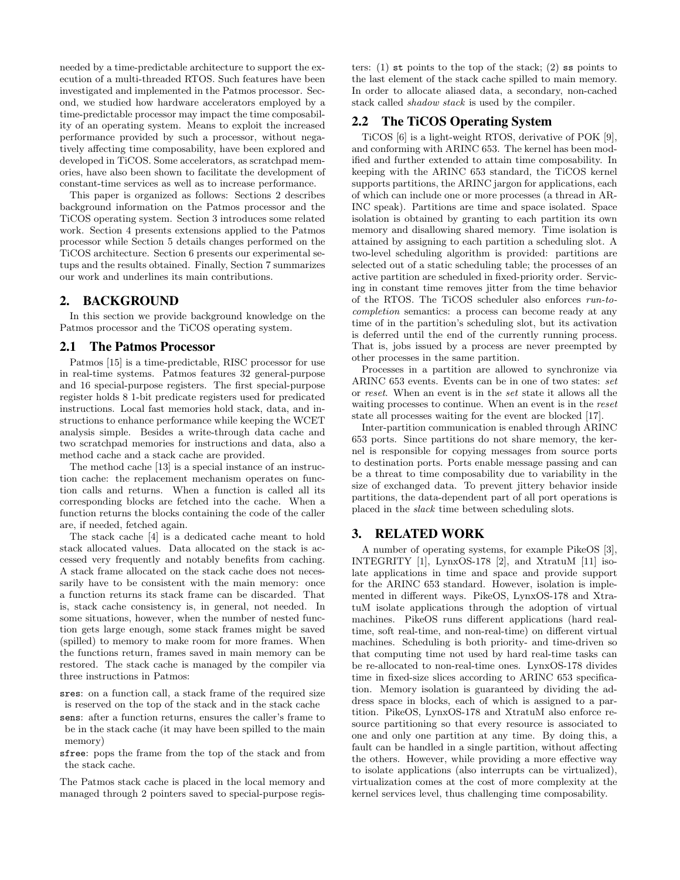needed by a time-predictable architecture to support the execution of a multi-threaded RTOS. Such features have been investigated and implemented in the Patmos processor. Second, we studied how hardware accelerators employed by a time-predictable processor may impact the time composability of an operating system. Means to exploit the increased performance provided by such a processor, without negatively affecting time composability, have been explored and developed in TiCOS. Some accelerators, as scratchpad memories, have also been shown to facilitate the development of constant-time services as well as to increase performance.

This paper is organized as follows: Sections 2 describes background information on the Patmos processor and the TiCOS operating system. Section 3 introduces some related work. Section 4 presents extensions applied to the Patmos processor while Section 5 details changes performed on the TiCOS architecture. Section 6 presents our experimental setups and the results obtained. Finally, Section 7 summarizes our work and underlines its main contributions.

#### 2. BACKGROUND

In this section we provide background knowledge on the Patmos processor and the TiCOS operating system.

## 2.1 The Patmos Processor

Patmos [15] is a time-predictable, RISC processor for use in real-time systems. Patmos features 32 general-purpose and 16 special-purpose registers. The first special-purpose register holds 8 1-bit predicate registers used for predicated instructions. Local fast memories hold stack, data, and instructions to enhance performance while keeping the WCET analysis simple. Besides a write-through data cache and two scratchpad memories for instructions and data, also a method cache and a stack cache are provided.

The method cache [13] is a special instance of an instruction cache: the replacement mechanism operates on function calls and returns. When a function is called all its corresponding blocks are fetched into the cache. When a function returns the blocks containing the code of the caller are, if needed, fetched again.

The stack cache [4] is a dedicated cache meant to hold stack allocated values. Data allocated on the stack is accessed very frequently and notably benefits from caching. A stack frame allocated on the stack cache does not necessarily have to be consistent with the main memory: once a function returns its stack frame can be discarded. That is, stack cache consistency is, in general, not needed. In some situations, however, when the number of nested function gets large enough, some stack frames might be saved (spilled) to memory to make room for more frames. When the functions return, frames saved in main memory can be restored. The stack cache is managed by the compiler via three instructions in Patmos:

sres: on a function call, a stack frame of the required size is reserved on the top of the stack and in the stack cache

sens: after a function returns, ensures the caller's frame to be in the stack cache (it may have been spilled to the main memory)

sfree: pops the frame from the top of the stack and from the stack cache.

The Patmos stack cache is placed in the local memory and managed through 2 pointers saved to special-purpose registers:  $(1)$  st points to the top of the stack;  $(2)$  ss points to the last element of the stack cache spilled to main memory. In order to allocate aliased data, a secondary, non-cached stack called shadow stack is used by the compiler.

# 2.2 The TiCOS Operating System

TiCOS [6] is a light-weight RTOS, derivative of POK [9], and conforming with ARINC 653. The kernel has been modified and further extended to attain time composability. In keeping with the ARINC 653 standard, the TiCOS kernel supports partitions, the ARINC jargon for applications, each of which can include one or more processes (a thread in AR-INC speak). Partitions are time and space isolated. Space isolation is obtained by granting to each partition its own memory and disallowing shared memory. Time isolation is attained by assigning to each partition a scheduling slot. A two-level scheduling algorithm is provided: partitions are selected out of a static scheduling table; the processes of an active partition are scheduled in fixed-priority order. Servicing in constant time removes jitter from the time behavior of the RTOS. The TiCOS scheduler also enforces run-tocompletion semantics: a process can become ready at any time of in the partition's scheduling slot, but its activation is deferred until the end of the currently running process. That is, jobs issued by a process are never preempted by other processes in the same partition.

Processes in a partition are allowed to synchronize via ARINC 653 events. Events can be in one of two states: set or reset. When an event is in the set state it allows all the waiting processes to continue. When an event is in the reset state all processes waiting for the event are blocked [17].

Inter-partition communication is enabled through ARINC 653 ports. Since partitions do not share memory, the kernel is responsible for copying messages from source ports to destination ports. Ports enable message passing and can be a threat to time composability due to variability in the size of exchanged data. To prevent jittery behavior inside partitions, the data-dependent part of all port operations is placed in the slack time between scheduling slots.

# 3. RELATED WORK

A number of operating systems, for example PikeOS [3], INTEGRITY [1], LynxOS-178 [2], and XtratuM [11] isolate applications in time and space and provide support for the ARINC 653 standard. However, isolation is implemented in different ways. PikeOS, LynxOS-178 and XtratuM isolate applications through the adoption of virtual machines. PikeOS runs different applications (hard realtime, soft real-time, and non-real-time) on different virtual machines. Scheduling is both priority- and time-driven so that computing time not used by hard real-time tasks can be re-allocated to non-real-time ones. LynxOS-178 divides time in fixed-size slices according to ARINC 653 specification. Memory isolation is guaranteed by dividing the address space in blocks, each of which is assigned to a partition. PikeOS, LynxOS-178 and XtratuM also enforce resource partitioning so that every resource is associated to one and only one partition at any time. By doing this, a fault can be handled in a single partition, without affecting the others. However, while providing a more effective way to isolate applications (also interrupts can be virtualized), virtualization comes at the cost of more complexity at the kernel services level, thus challenging time composability.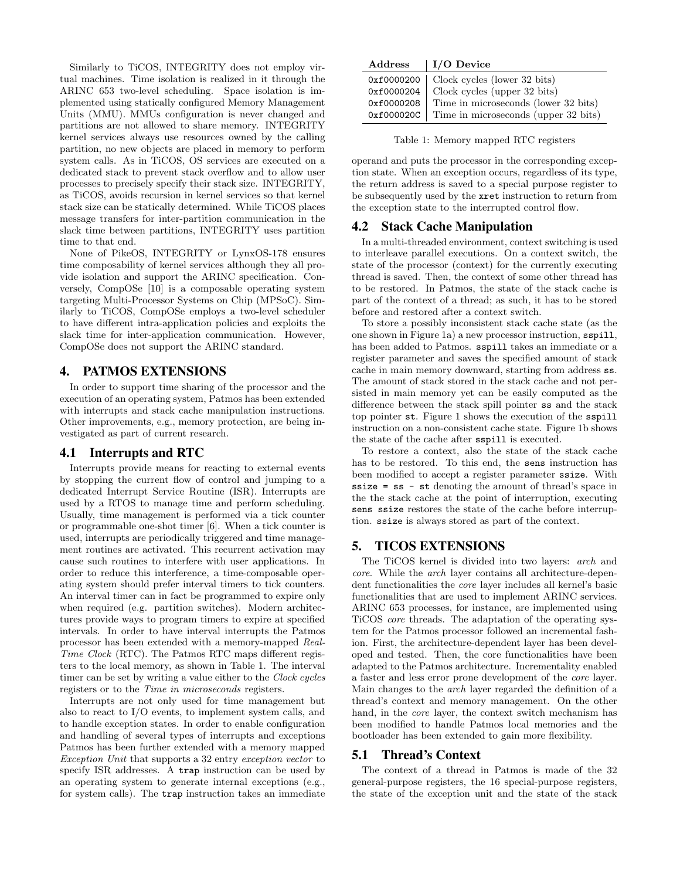Similarly to TiCOS, INTEGRITY does not employ virtual machines. Time isolation is realized in it through the ARINC 653 two-level scheduling. Space isolation is implemented using statically configured Memory Management Units (MMU). MMUs configuration is never changed and partitions are not allowed to share memory. INTEGRITY kernel services always use resources owned by the calling partition, no new objects are placed in memory to perform system calls. As in TiCOS, OS services are executed on a dedicated stack to prevent stack overflow and to allow user processes to precisely specify their stack size. INTEGRITY, as TiCOS, avoids recursion in kernel services so that kernel stack size can be statically determined. While TiCOS places message transfers for inter-partition communication in the slack time between partitions, INTEGRITY uses partition time to that end.

None of PikeOS, INTEGRITY or LynxOS-178 ensures time composability of kernel services although they all provide isolation and support the ARINC specification. Conversely, CompOSe [10] is a composable operating system targeting Multi-Processor Systems on Chip (MPSoC). Similarly to TiCOS, CompOSe employs a two-level scheduler to have different intra-application policies and exploits the slack time for inter-application communication. However, CompOSe does not support the ARINC standard.

#### 4. PATMOS EXTENSIONS

In order to support time sharing of the processor and the execution of an operating system, Patmos has been extended with interrupts and stack cache manipulation instructions. Other improvements, e.g., memory protection, are being investigated as part of current research.

#### 4.1 Interrupts and RTC

Interrupts provide means for reacting to external events by stopping the current flow of control and jumping to a dedicated Interrupt Service Routine (ISR). Interrupts are used by a RTOS to manage time and perform scheduling. Usually, time management is performed via a tick counter or programmable one-shot timer [6]. When a tick counter is used, interrupts are periodically triggered and time management routines are activated. This recurrent activation may cause such routines to interfere with user applications. In order to reduce this interference, a time-composable operating system should prefer interval timers to tick counters. An interval timer can in fact be programmed to expire only when required (e.g. partition switches). Modern architectures provide ways to program timers to expire at specified intervals. In order to have interval interrupts the Patmos processor has been extended with a memory-mapped Real-Time Clock (RTC). The Patmos RTC maps different registers to the local memory, as shown in Table 1. The interval timer can be set by writing a value either to the Clock cycles registers or to the Time in microseconds registers.

Interrupts are not only used for time management but also to react to I/O events, to implement system calls, and to handle exception states. In order to enable configuration and handling of several types of interrupts and exceptions Patmos has been further extended with a memory mapped Exception Unit that supports a 32 entry exception vector to specify ISR addresses. A trap instruction can be used by an operating system to generate internal exceptions (e.g., for system calls). The trap instruction takes an immediate

| $\rm{Address}$ | I/O Device                                      |
|----------------|-------------------------------------------------|
|                | 0xf0000200   Clock cycles (lower 32 bits)       |
| 0xf0000204     | Clock cycles (upper 32 bits)                    |
| 0xf0000208     | Time in microseconds (lower 32 bits)            |
|                | 0xf000020C Time in microseconds (upper 32 bits) |

Table 1: Memory mapped RTC registers

operand and puts the processor in the corresponding exception state. When an exception occurs, regardless of its type, the return address is saved to a special purpose register to be subsequently used by the xret instruction to return from the exception state to the interrupted control flow.

## 4.2 Stack Cache Manipulation

In a multi-threaded environment, context switching is used to interleave parallel executions. On a context switch, the state of the processor (context) for the currently executing thread is saved. Then, the context of some other thread has to be restored. In Patmos, the state of the stack cache is part of the context of a thread; as such, it has to be stored before and restored after a context switch.

To store a possibly inconsistent stack cache state (as the one shown in Figure 1a) a new processor instruction, sspill, has been added to Patmos. sspill takes an immediate or a register parameter and saves the specified amount of stack cache in main memory downward, starting from address ss. The amount of stack stored in the stack cache and not persisted in main memory yet can be easily computed as the difference between the stack spill pointer ss and the stack top pointer st. Figure 1 shows the execution of the sspill instruction on a non-consistent cache state. Figure 1b shows the state of the cache after sspill is executed.

To restore a context, also the state of the stack cache has to be restored. To this end, the sens instruction has been modified to accept a register parameter ssize. With  $\text{ssize}$  =  $\text{ss}$  -  $\text{st}$  denoting the amount of thread's space in the the stack cache at the point of interruption, executing sens ssize restores the state of the cache before interruption. ssize is always stored as part of the context.

## 5. TICOS EXTENSIONS

The TiCOS kernel is divided into two layers: arch and core. While the arch layer contains all architecture-dependent functionalities the core layer includes all kernel's basic functionalities that are used to implement ARINC services. ARINC 653 processes, for instance, are implemented using TiCOS core threads. The adaptation of the operating system for the Patmos processor followed an incremental fashion. First, the architecture-dependent layer has been developed and tested. Then, the core functionalities have been adapted to the Patmos architecture. Incrementality enabled a faster and less error prone development of the core layer. Main changes to the arch layer regarded the definition of a thread's context and memory management. On the other hand, in the core layer, the context switch mechanism has been modified to handle Patmos local memories and the bootloader has been extended to gain more flexibility.

# 5.1 Thread's Context

The context of a thread in Patmos is made of the 32 general-purpose registers, the 16 special-purpose registers, the state of the exception unit and the state of the stack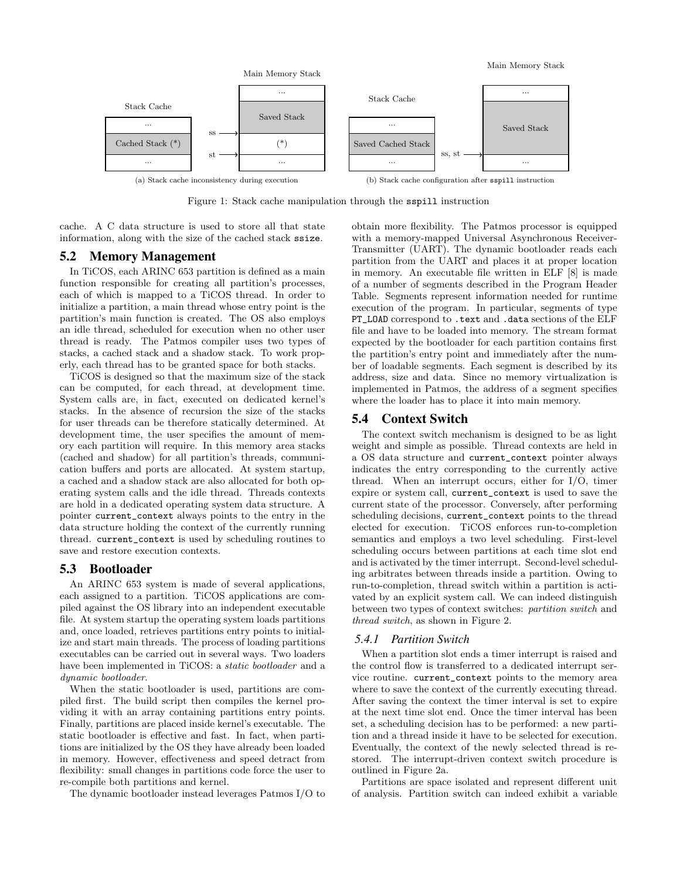

Figure 1: Stack cache manipulation through the sspill instruction

cache. A C data structure is used to store all that state information, along with the size of the cached stack ssize.

## 5.2 Memory Management

In TiCOS, each ARINC 653 partition is defined as a main function responsible for creating all partition's processes, each of which is mapped to a TiCOS thread. In order to initialize a partition, a main thread whose entry point is the partition's main function is created. The OS also employs an idle thread, scheduled for execution when no other user thread is ready. The Patmos compiler uses two types of stacks, a cached stack and a shadow stack. To work properly, each thread has to be granted space for both stacks.

TiCOS is designed so that the maximum size of the stack can be computed, for each thread, at development time. System calls are, in fact, executed on dedicated kernel's stacks. In the absence of recursion the size of the stacks for user threads can be therefore statically determined. At development time, the user specifies the amount of memory each partition will require. In this memory area stacks (cached and shadow) for all partition's threads, communication buffers and ports are allocated. At system startup, a cached and a shadow stack are also allocated for both operating system calls and the idle thread. Threads contexts are hold in a dedicated operating system data structure. A pointer current\_context always points to the entry in the data structure holding the context of the currently running thread. current\_context is used by scheduling routines to save and restore execution contexts.

#### 5.3 Bootloader

An ARINC 653 system is made of several applications, each assigned to a partition. TiCOS applications are compiled against the OS library into an independent executable file. At system startup the operating system loads partitions and, once loaded, retrieves partitions entry points to initialize and start main threads. The process of loading partitions executables can be carried out in several ways. Two loaders have been implemented in TiCOS: a static bootloader and a dynamic bootloader.

When the static bootloader is used, partitions are compiled first. The build script then compiles the kernel providing it with an array containing partitions entry points. Finally, partitions are placed inside kernel's executable. The static bootloader is effective and fast. In fact, when partitions are initialized by the OS they have already been loaded in memory. However, effectiveness and speed detract from flexibility: small changes in partitions code force the user to re-compile both partitions and kernel.

The dynamic bootloader instead leverages Patmos I/O to

obtain more flexibility. The Patmos processor is equipped with a memory-mapped Universal Asynchronous Receiver-Transmitter (UART). The dynamic bootloader reads each partition from the UART and places it at proper location in memory. An executable file written in ELF [8] is made of a number of segments described in the Program Header Table. Segments represent information needed for runtime execution of the program. In particular, segments of type PT\_LOAD correspond to .text and .data sections of the ELF file and have to be loaded into memory. The stream format expected by the bootloader for each partition contains first the partition's entry point and immediately after the number of loadable segments. Each segment is described by its address, size and data. Since no memory virtualization is implemented in Patmos, the address of a segment specifies where the loader has to place it into main memory.

#### 5.4 Context Switch

The context switch mechanism is designed to be as light weight and simple as possible. Thread contexts are held in a OS data structure and current\_context pointer always indicates the entry corresponding to the currently active thread. When an interrupt occurs, either for I/O, timer expire or system call, current\_context is used to save the current state of the processor. Conversely, after performing scheduling decisions, current\_context points to the thread elected for execution. TiCOS enforces run-to-completion semantics and employs a two level scheduling. First-level scheduling occurs between partitions at each time slot end and is activated by the timer interrupt. Second-level scheduling arbitrates between threads inside a partition. Owing to run-to-completion, thread switch within a partition is activated by an explicit system call. We can indeed distinguish between two types of context switches: partition switch and thread switch, as shown in Figure 2.

#### *5.4.1 Partition Switch*

When a partition slot ends a timer interrupt is raised and the control flow is transferred to a dedicated interrupt service routine. current\_context points to the memory area where to save the context of the currently executing thread. After saving the context the timer interval is set to expire at the next time slot end. Once the timer interval has been set, a scheduling decision has to be performed: a new partition and a thread inside it have to be selected for execution. Eventually, the context of the newly selected thread is restored. The interrupt-driven context switch procedure is outlined in Figure 2a.

Partitions are space isolated and represent different unit of analysis. Partition switch can indeed exhibit a variable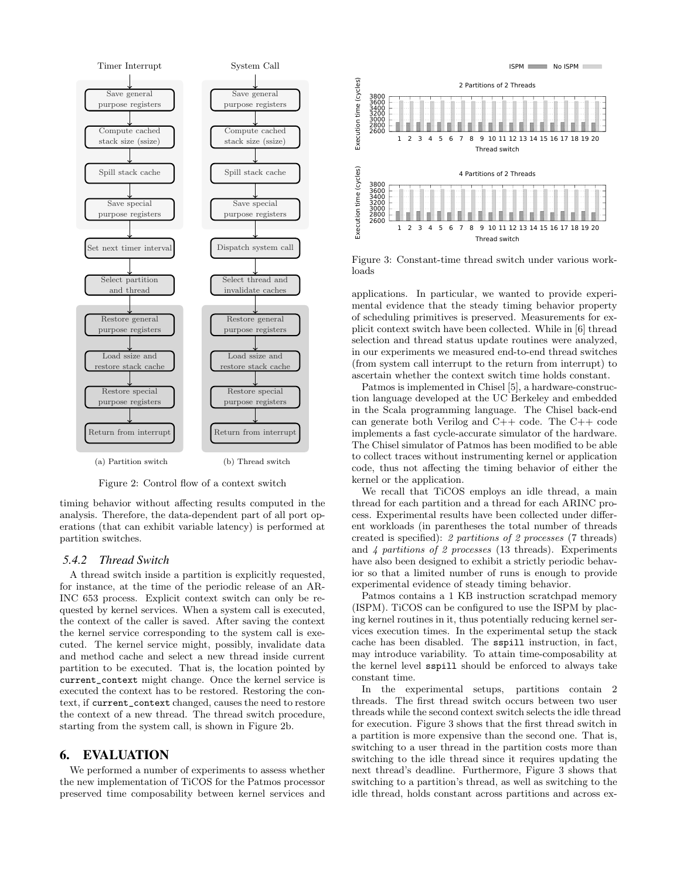

Figure 2: Control flow of a context switch

timing behavior without affecting results computed in the analysis. Therefore, the data-dependent part of all port operations (that can exhibit variable latency) is performed at

#### *5.4.2 Thread Switch*

partition switches.

A thread switch inside a partition is explicitly requested, for instance, at the time of the periodic release of an AR-INC 653 process. Explicit context switch can only be requested by kernel services. When a system call is executed, the context of the caller is saved. After saving the context the kernel service corresponding to the system call is executed. The kernel service might, possibly, invalidate data and method cache and select a new thread inside current partition to be executed. That is, the location pointed by current\_context might change. Once the kernel service is executed the context has to be restored. Restoring the context, if current\_context changed, causes the need to restore the context of a new thread. The thread switch procedure, starting from the system call, is shown in Figure 2b.

## 6. EVALUATION

We performed a number of experiments to assess whether the new implementation of TiCOS for the Patmos processor preserved time composability between kernel services and



Figure 3: Constant-time thread switch under various workloads

applications. In particular, we wanted to provide experimental evidence that the steady timing behavior property of scheduling primitives is preserved. Measurements for explicit context switch have been collected. While in [6] thread selection and thread status update routines were analyzed, in our experiments we measured end-to-end thread switches (from system call interrupt to the return from interrupt) to ascertain whether the context switch time holds constant.

Patmos is implemented in Chisel [5], a hardware-construction language developed at the UC Berkeley and embedded in the Scala programming language. The Chisel back-end can generate both Verilog and C++ code. The C++ code implements a fast cycle-accurate simulator of the hardware. The Chisel simulator of Patmos has been modified to be able to collect traces without instrumenting kernel or application code, thus not affecting the timing behavior of either the kernel or the application.

We recall that TiCOS employs an idle thread, a main thread for each partition and a thread for each ARINC process. Experimental results have been collected under different workloads (in parentheses the total number of threads created is specified): 2 partitions of 2 processes (7 threads) and 4 partitions of 2 processes (13 threads). Experiments have also been designed to exhibit a strictly periodic behavior so that a limited number of runs is enough to provide experimental evidence of steady timing behavior.

Patmos contains a 1 KB instruction scratchpad memory (ISPM). TiCOS can be configured to use the ISPM by placing kernel routines in it, thus potentially reducing kernel services execution times. In the experimental setup the stack cache has been disabled. The sspill instruction, in fact, may introduce variability. To attain time-composability at the kernel level sspill should be enforced to always take constant time.

In the experimental setups, partitions contain 2 threads. The first thread switch occurs between two user threads while the second context switch selects the idle thread for execution. Figure 3 shows that the first thread switch in a partition is more expensive than the second one. That is, switching to a user thread in the partition costs more than switching to the idle thread since it requires updating the next thread's deadline. Furthermore, Figure 3 shows that switching to a partition's thread, as well as switching to the idle thread, holds constant across partitions and across ex-